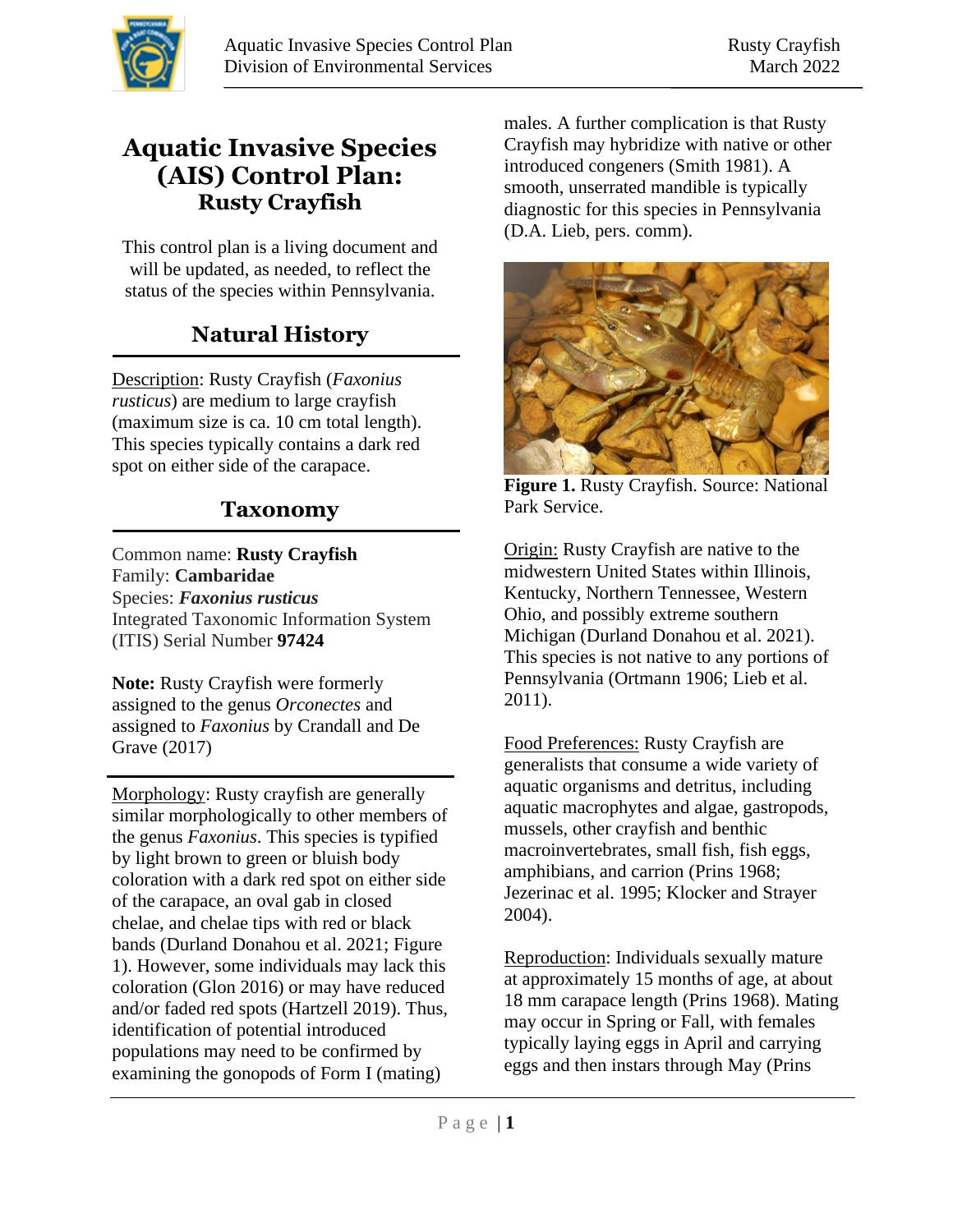

## **Aquatic Invasive Species (AIS) Control Plan: Rusty Crayfish**

This control plan is a living document and will be updated, as needed, to reflect the status of the species within Pennsylvania.

# **Natural History**

Description: Rusty Crayfish (*Faxonius rusticus*) are medium to large crayfish (maximum size is ca. 10 cm total length). This species typically contains a dark red spot on either side of the carapace.

### **Taxonomy**

Common name: **Rusty Crayfish** Family: **Cambaridae** Species: *Faxonius rusticus*  Integrated Taxonomic Information System (ITIS) Serial Number **97424**

**Note:** Rusty Crayfish were formerly assigned to the genus *Orconectes* and assigned to *Faxonius* by Crandall and De Grave (2017)

 $\overline{a}$ 

Morphology: Rusty crayfish are generally similar morphologically to other members of the genus *Faxonius*. This species is typified by light brown to green or bluish body coloration with a dark red spot on either side of the carapace, an oval gab in closed chelae, and chelae tips with red or black bands (Durland Donahou et al. 2021; Figure 1). However, some individuals may lack this coloration (Glon 2016) or may have reduced and/or faded red spots (Hartzell 2019). Thus, identification of potential introduced populations may need to be confirmed by examining the gonopods of Form I (mating)

males. A further complication is that Rusty Crayfish may hybridize with native or other introduced congeners (Smith 1981). A smooth, unserrated mandible is typically diagnostic for this species in Pennsylvania (D.A. Lieb, pers. comm).



**Figure 1.** Rusty Crayfish. Source: National Park Service.

Origin: Rusty Crayfish are native to the midwestern United States within Illinois, Kentucky, Northern Tennessee, Western Ohio, and possibly extreme southern Michigan (Durland Donahou et al. 2021). This species is not native to any portions of Pennsylvania (Ortmann 1906; Lieb et al. 2011).

Food Preferences: Rusty Crayfish are generalists that consume a wide variety of aquatic organisms and detritus, including aquatic macrophytes and algae, gastropods, mussels, other crayfish and benthic macroinvertebrates, small fish, fish eggs, amphibians, and carrion (Prins 1968; Jezerinac et al. 1995; Klocker and Strayer 2004).

Reproduction: Individuals sexually mature at approximately 15 months of age, at about 18 mm carapace length (Prins 1968). Mating may occur in Spring or Fall, with females typically laying eggs in April and carrying eggs and then instars through May (Prins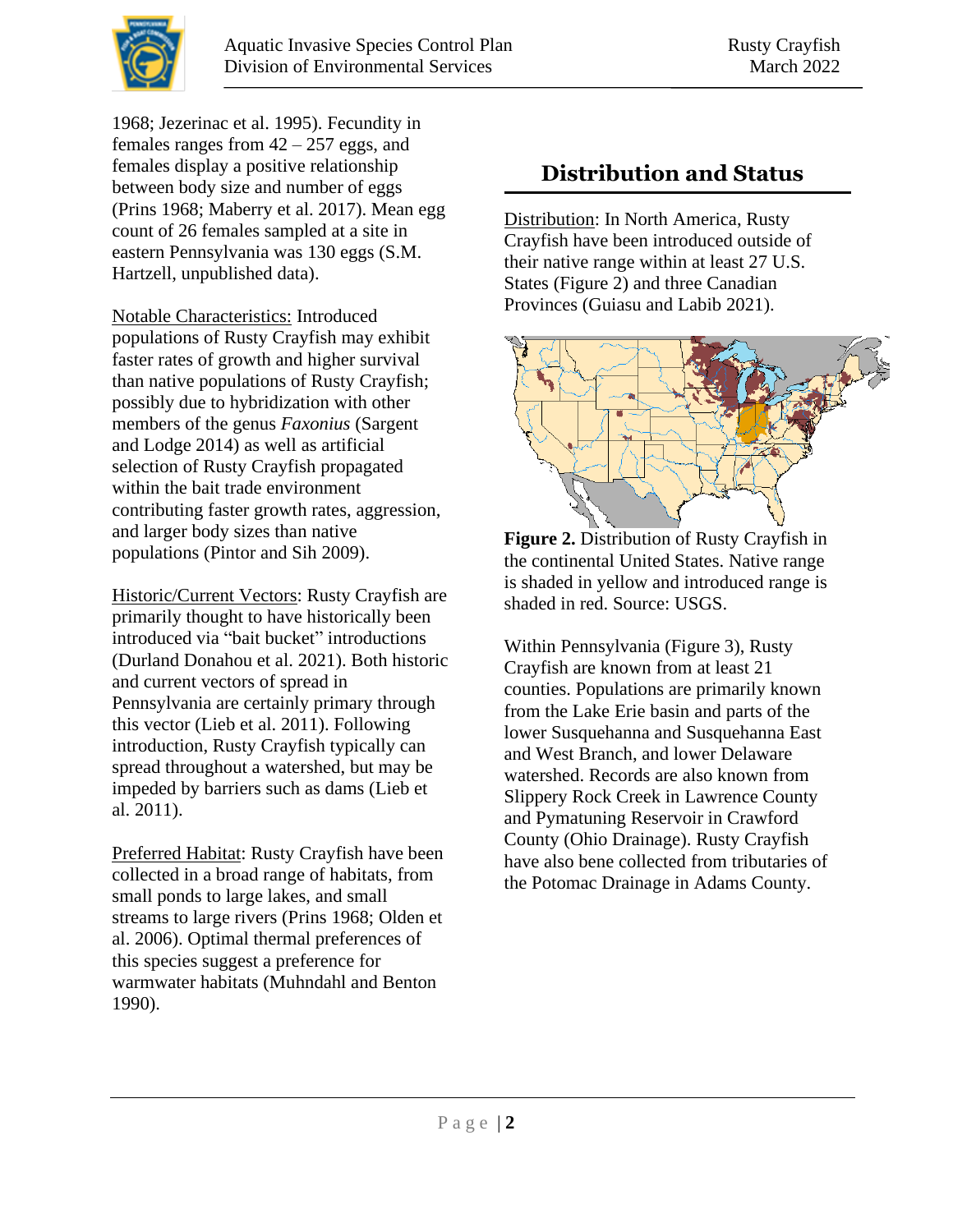

1968; Jezerinac et al. 1995). Fecundity in females ranges from  $42 - 257$  eggs, and females display a positive relationship between body size and number of eggs (Prins 1968; Maberry et al. 2017). Mean egg count of 26 females sampled at a site in eastern Pennsylvania was 130 eggs (S.M. Hartzell, unpublished data).

Notable Characteristics: Introduced populations of Rusty Crayfish may exhibit faster rates of growth and higher survival than native populations of Rusty Crayfish; possibly due to hybridization with other members of the genus *Faxonius* (Sargent and Lodge 2014) as well as artificial selection of Rusty Crayfish propagated within the bait trade environment contributing faster growth rates, aggression, and larger body sizes than native populations (Pintor and Sih 2009).

Historic/Current Vectors: Rusty Crayfish are primarily thought to have historically been introduced via "bait bucket" introductions (Durland Donahou et al. 2021). Both historic and current vectors of spread in Pennsylvania are certainly primary through this vector (Lieb et al. 2011). Following introduction, Rusty Crayfish typically can spread throughout a watershed, but may be impeded by barriers such as dams (Lieb et al. 2011).

Preferred Habitat: Rusty Crayfish have been collected in a broad range of habitats, from small ponds to large lakes, and small streams to large rivers (Prins 1968; Olden et al. 2006). Optimal thermal preferences of this species suggest a preference for warmwater habitats (Muhndahl and Benton 1990).

## **Distribution and Status**

Distribution: In North America, Rusty Crayfish have been introduced outside of their native range within at least 27 U.S. States (Figure 2) and three Canadian Provinces (Guiasu and Labib 2021).



**Figure 2.** Distribution of Rusty Crayfish in the continental United States. Native range is shaded in yellow and introduced range is shaded in red. Source: USGS.

Within Pennsylvania (Figure 3), Rusty Crayfish are known from at least 21 counties. Populations are primarily known from the Lake Erie basin and parts of the lower Susquehanna and Susquehanna East and West Branch, and lower Delaware watershed. Records are also known from Slippery Rock Creek in Lawrence County and Pymatuning Reservoir in Crawford County (Ohio Drainage). Rusty Crayfish have also bene collected from tributaries of the Potomac Drainage in Adams County.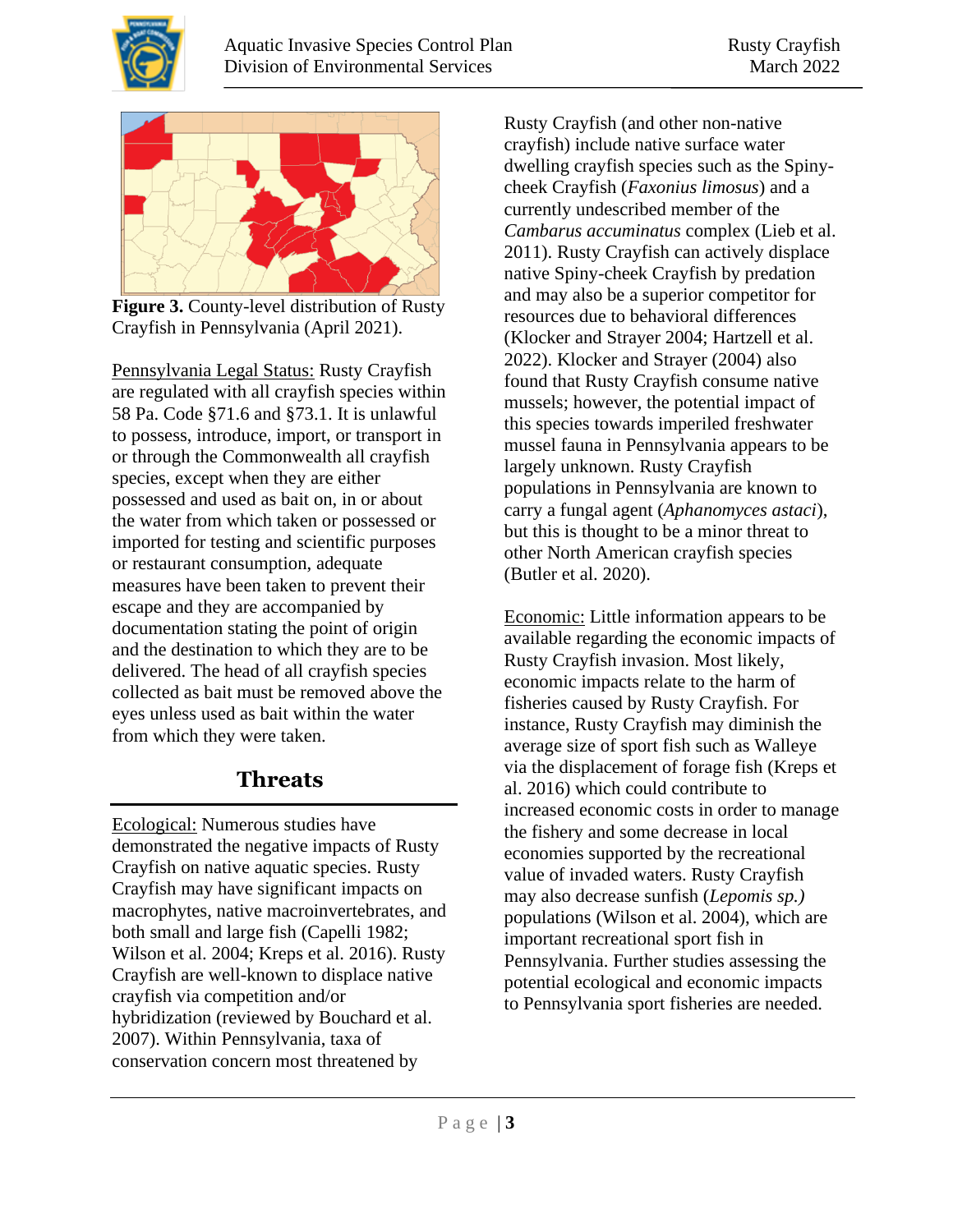



**Figure 3.** County-level distribution of Rusty Crayfish in Pennsylvania (April 2021).

Pennsylvania Legal Status: Rusty Crayfish are regulated with all crayfish species within 58 Pa. Code §71.6 and §73.1. It is unlawful to possess, introduce, import, or transport in or through the Commonwealth all crayfish species, except when they are either possessed and used as bait on, in or about the water from which taken or possessed or imported for testing and scientific purposes or restaurant consumption, adequate measures have been taken to prevent their escape and they are accompanied by documentation stating the point of origin and the destination to which they are to be delivered. The head of all crayfish species collected as bait must be removed above the eyes unless used as bait within the water from which they were taken.

### **Threats**

Ecological: Numerous studies have demonstrated the negative impacts of Rusty Crayfish on native aquatic species. Rusty Crayfish may have significant impacts on macrophytes, native macroinvertebrates, and both small and large fish (Capelli 1982; Wilson et al. 2004; Kreps et al. 2016). Rusty Crayfish are well-known to displace native crayfish via competition and/or hybridization (reviewed by Bouchard et al. 2007). Within Pennsylvania, taxa of conservation concern most threatened by

Rusty Crayfish (and other non-native crayfish) include native surface water dwelling crayfish species such as the Spinycheek Crayfish (*Faxonius limosus*) and a currently undescribed member of the *Cambarus accuminatus* complex (Lieb et al. 2011). Rusty Crayfish can actively displace native Spiny-cheek Crayfish by predation and may also be a superior competitor for resources due to behavioral differences (Klocker and Strayer 2004; Hartzell et al. 2022). Klocker and Strayer (2004) also found that Rusty Crayfish consume native mussels; however, the potential impact of this species towards imperiled freshwater mussel fauna in Pennsylvania appears to be largely unknown. Rusty Crayfish populations in Pennsylvania are known to carry a fungal agent (*Aphanomyces astaci*), but this is thought to be a minor threat to other North American crayfish species (Butler et al. 2020).

Economic: Little information appears to be available regarding the economic impacts of Rusty Crayfish invasion. Most likely, economic impacts relate to the harm of fisheries caused by Rusty Crayfish. For instance, Rusty Crayfish may diminish the average size of sport fish such as Walleye via the displacement of forage fish (Kreps et al. 2016) which could contribute to increased economic costs in order to manage the fishery and some decrease in local economies supported by the recreational value of invaded waters. Rusty Crayfish may also decrease sunfish (*Lepomis sp.)* populations (Wilson et al. 2004), which are important recreational sport fish in Pennsylvania. Further studies assessing the potential ecological and economic impacts to Pennsylvania sport fisheries are needed.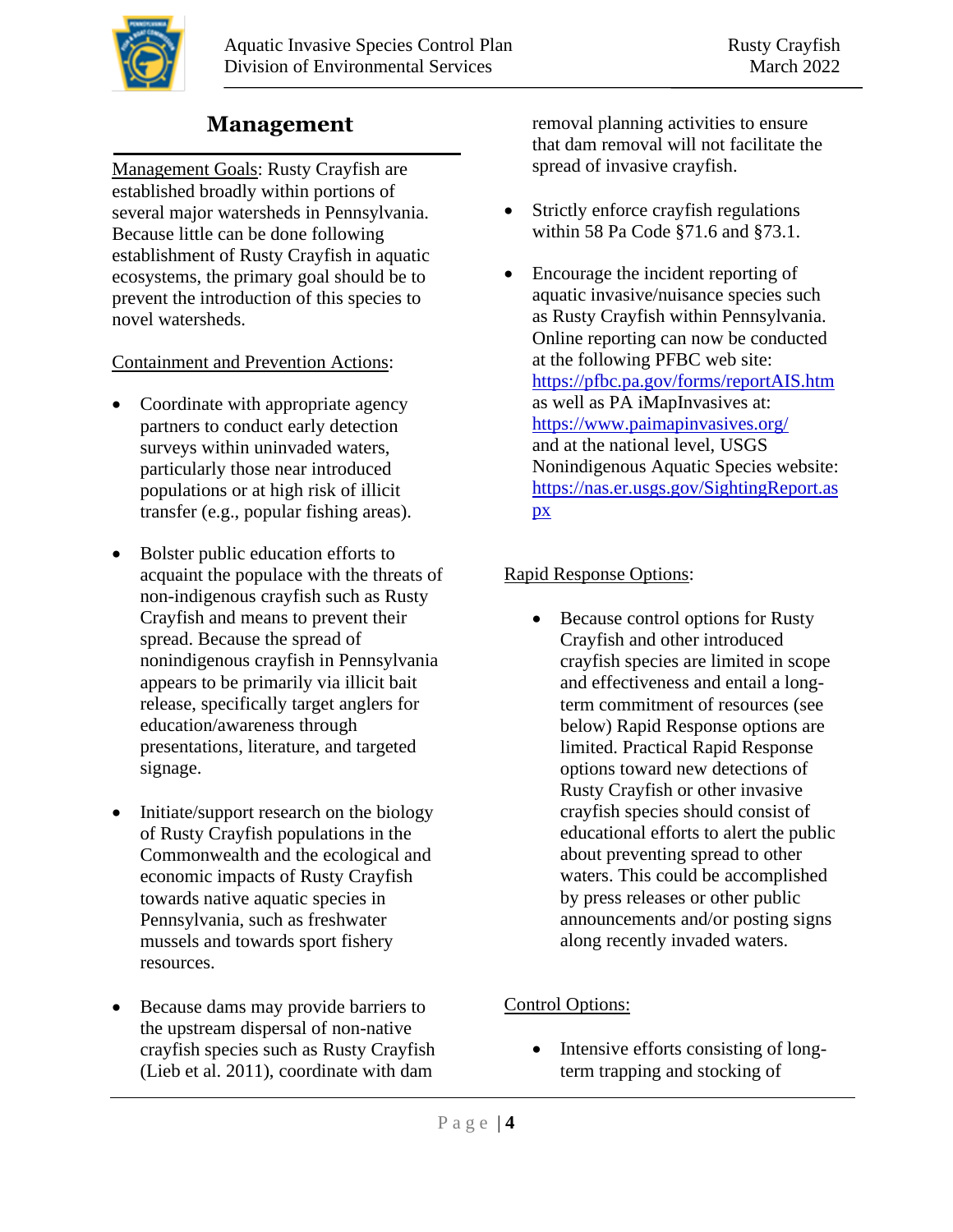

## **Management**

Management Goals: Rusty Crayfish are established broadly within portions of several major watersheds in Pennsylvania. Because little can be done following establishment of Rusty Crayfish in aquatic ecosystems, the primary goal should be to prevent the introduction of this species to novel watersheds.

#### Containment and Prevention Actions:

- Coordinate with appropriate agency partners to conduct early detection surveys within uninvaded waters, particularly those near introduced populations or at high risk of illicit transfer (e.g., popular fishing areas).
- Bolster public education efforts to acquaint the populace with the threats of non-indigenous crayfish such as Rusty Crayfish and means to prevent their spread. Because the spread of nonindigenous crayfish in Pennsylvania appears to be primarily via illicit bait release, specifically target anglers for education/awareness through presentations, literature, and targeted signage.
- Initiate/support research on the biology of Rusty Crayfish populations in the Commonwealth and the ecological and economic impacts of Rusty Crayfish towards native aquatic species in Pennsylvania, such as freshwater mussels and towards sport fishery resources.
- Because dams may provide barriers to the upstream dispersal of non-native crayfish species such as Rusty Crayfish (Lieb et al. 2011), coordinate with dam

removal planning activities to ensure that dam removal will not facilitate the spread of invasive crayfish.

- Strictly enforce crayfish regulations within 58 Pa Code §71.6 and §73.1.
- Encourage the incident reporting of aquatic invasive/nuisance species such as Rusty Crayfish within Pennsylvania. Online reporting can now be conducted at the following PFBC web site: <https://pfbc.pa.gov/forms/reportAIS.htm> as well as PA iMapInvasives at: <https://www.paimapinvasives.org/> and at the national level, USGS Nonindigenous Aquatic Species website: [https://nas.er.usgs.gov/SightingReport.as](https://nas.er.usgs.gov/SightingReport.aspx) [px](https://nas.er.usgs.gov/SightingReport.aspx)

### Rapid Response Options:

• Because control options for Rusty Crayfish and other introduced crayfish species are limited in scope and effectiveness and entail a longterm commitment of resources (see below) Rapid Response options are limited. Practical Rapid Response options toward new detections of Rusty Crayfish or other invasive crayfish species should consist of educational efforts to alert the public about preventing spread to other waters. This could be accomplished by press releases or other public announcements and/or posting signs along recently invaded waters.

### Control Options:

• Intensive efforts consisting of longterm trapping and stocking of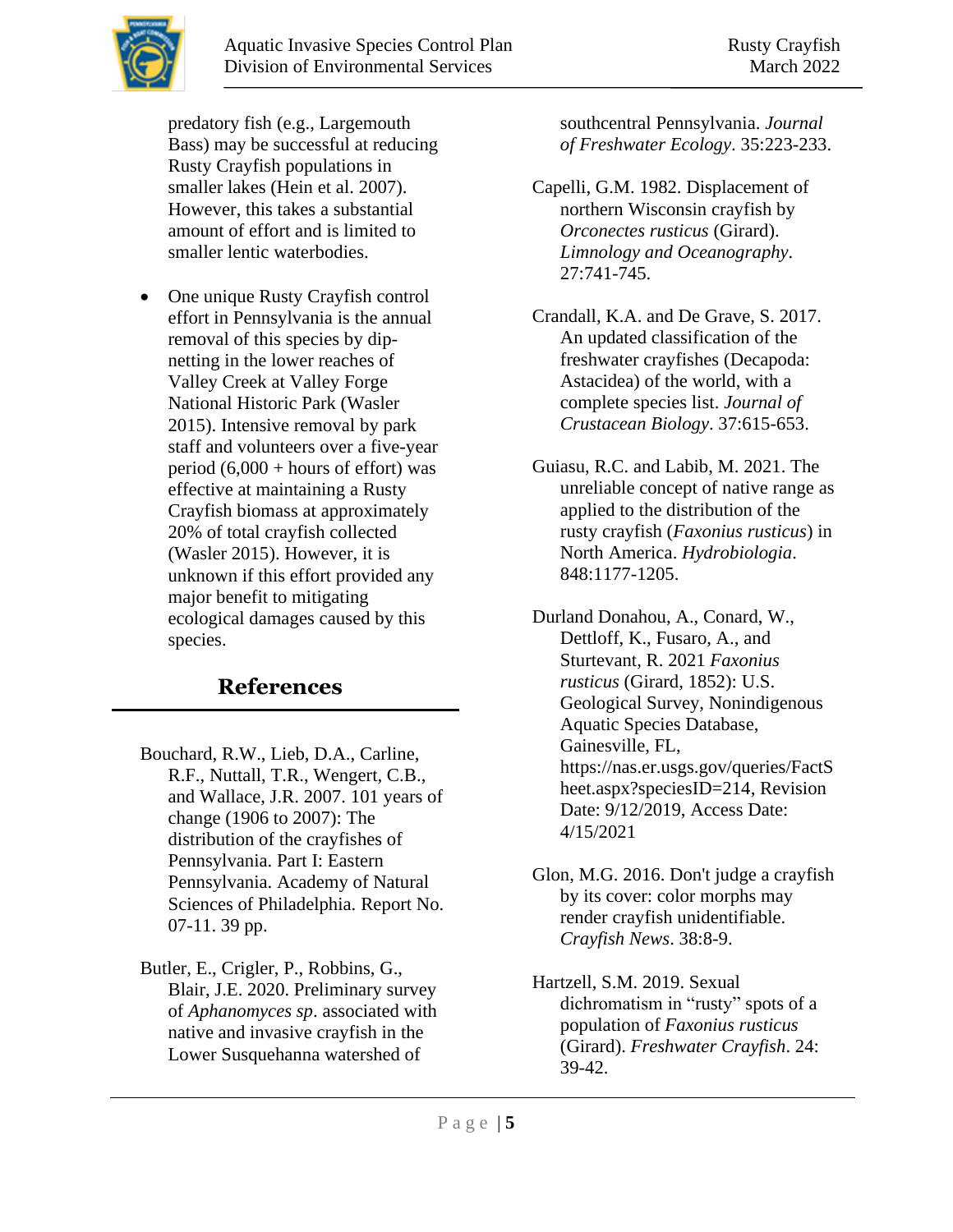predatory fish (e.g., Largemouth Bass) may be successful at reducing Rusty Crayfish populations in smaller lakes (Hein et al. 2007). However, this takes a substantial amount of effort and is limited to smaller lentic waterbodies.

• One unique Rusty Crayfish control effort in Pennsylvania is the annual removal of this species by dipnetting in the lower reaches of Valley Creek at Valley Forge National Historic Park (Wasler 2015). Intensive removal by park staff and volunteers over a five-year period  $(6,000 + \text{hours of effort})$  was effective at maintaining a Rusty Crayfish biomass at approximately 20% of total crayfish collected (Wasler 2015). However, it is unknown if this effort provided any major benefit to mitigating ecological damages caused by this species.

# **References**

- Bouchard, R.W., Lieb, D.A., Carline, R.F., Nuttall, T.R., Wengert, C.B., and Wallace, J.R. 2007. 101 years of change (1906 to 2007): The distribution of the crayfishes of Pennsylvania. Part I: Eastern Pennsylvania. Academy of Natural Sciences of Philadelphia. Report No. 07-11. 39 pp.
- Butler, E., Crigler, P., Robbins, G., Blair, J.E. 2020. Preliminary survey of *Aphanomyces sp*. associated with native and invasive crayfish in the Lower Susquehanna watershed of

southcentral Pennsylvania. *Journal of Freshwater Ecology*. 35:223-233.

- Capelli, G.M. 1982. Displacement of northern Wisconsin crayfish by *Orconectes rusticus* (Girard). *Limnology and Oceanography*. 27:741-745.
- Crandall, K.A. and De Grave, S. 2017. An updated classification of the freshwater crayfishes (Decapoda: Astacidea) of the world, with a complete species list. *Journal of Crustacean Biology*. 37:615-653.
- Guiasu, R.C. and Labib, M. 2021. The unreliable concept of native range as applied to the distribution of the rusty crayfish (*Faxonius rusticus*) in North America. *Hydrobiologia*. 848:1177-1205.

Durland Donahou, A., Conard, W., Dettloff, K., Fusaro, A., and Sturtevant, R. 2021 *Faxonius rusticus* (Girard, 1852): U.S. Geological Survey, Nonindigenous Aquatic Species Database, Gainesville, FL, https://nas.er.usgs.gov/queries/FactS heet.aspx?speciesID=214, Revision Date: 9/12/2019, Access Date: 4/15/2021

- Glon, M.G. 2016. Don't judge a crayfish by its cover: color morphs may render crayfish unidentifiable. *Crayfish News*. 38:8-9.
- Hartzell, S.M. 2019. Sexual dichromatism in "rusty" spots of a population of *Faxonius rusticus* (Girard). *Freshwater Crayfish*. 24: 39-42.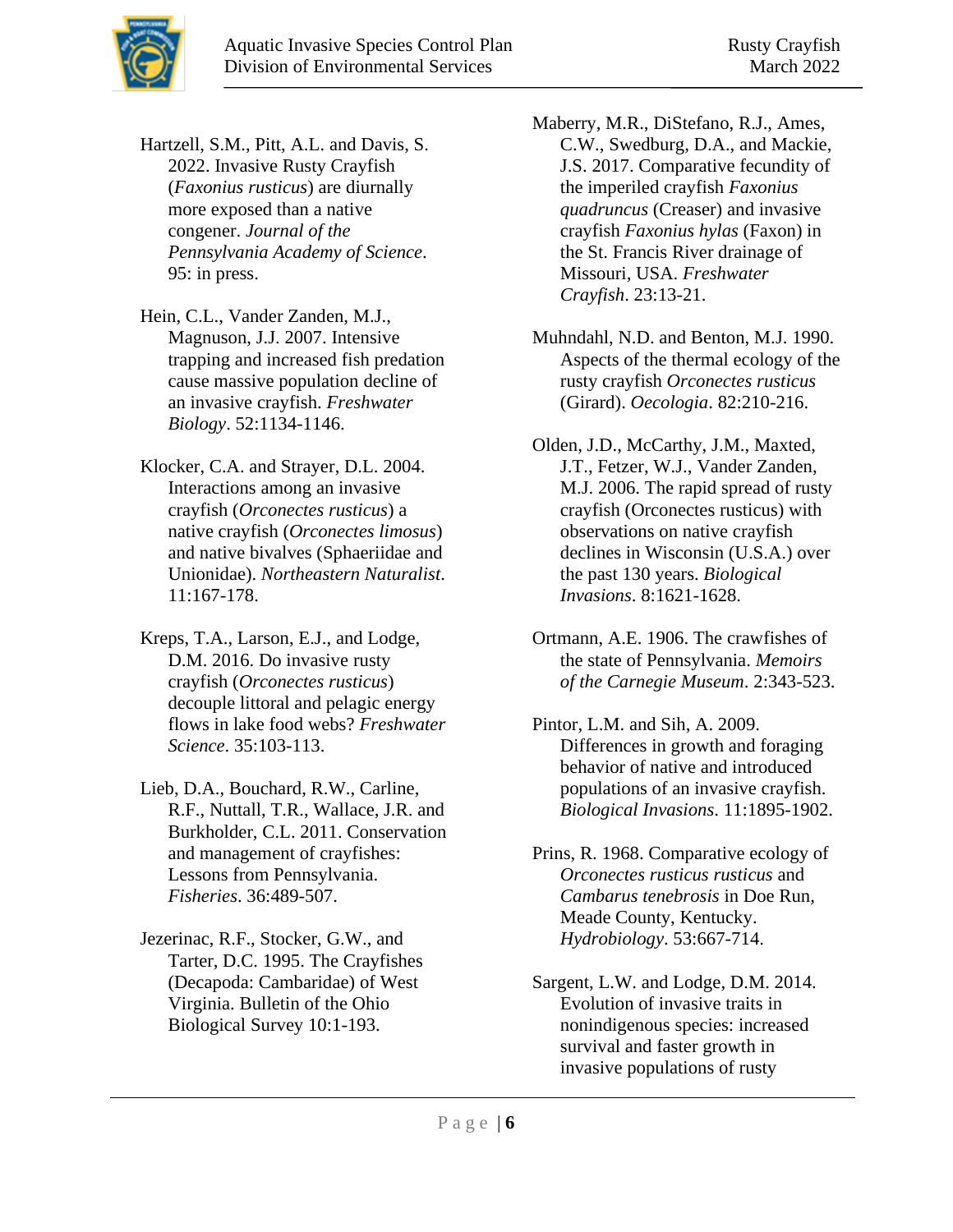

Hartzell, S.M., Pitt, A.L. and Davis, S. 2022. Invasive Rusty Crayfish (*Faxonius rusticus*) are diurnally more exposed than a native congener. *Journal of the Pennsylvania Academy of Science*. 95: in press.

Hein, C.L., Vander Zanden, M.J., Magnuson, J.J. 2007. Intensive trapping and increased fish predation cause massive population decline of an invasive crayfish. *Freshwater Biology*. 52:1134-1146.

- Klocker, C.A. and Strayer, D.L. 2004. Interactions among an invasive crayfish (*Orconectes rusticus*) a native crayfish (*Orconectes limosus*) and native bivalves (Sphaeriidae and Unionidae). *Northeastern Naturalist*. 11:167-178.
- Kreps, T.A., Larson, E.J., and Lodge, D.M. 2016. Do invasive rusty crayfish (*Orconectes rusticus*) decouple littoral and pelagic energy flows in lake food webs? *Freshwater Science*. 35:103-113.

Lieb, D.A., Bouchard, R.W., Carline, R.F., Nuttall, T.R., Wallace, J.R. and Burkholder, C.L. 2011. Conservation and management of crayfishes: Lessons from Pennsylvania. *Fisheries*. 36:489-507.

Jezerinac, R.F., Stocker, G.W., and Tarter, D.C. 1995. The Crayfishes (Decapoda: Cambaridae) of West Virginia. Bulletin of the Ohio Biological Survey 10:1-193.

Maberry, M.R., DiStefano, R.J., Ames, C.W., Swedburg, D.A., and Mackie, J.S. 2017. Comparative fecundity of the imperiled crayfish *Faxonius quadruncus* (Creaser) and invasive crayfish *Faxonius hylas* (Faxon) in the St. Francis River drainage of Missouri, USA. *Freshwater Crayfish*. 23:13-21.

- Muhndahl, N.D. and Benton, M.J. 1990. Aspects of the thermal ecology of the rusty crayfish *Orconectes rusticus* (Girard). *Oecologia*. 82:210-216.
- Olden, J.D., McCarthy, J.M., Maxted, J.T., Fetzer, W.J., Vander Zanden, M.J. 2006. The rapid spread of rusty crayfish (Orconectes rusticus) with observations on native crayfish declines in Wisconsin (U.S.A.) over the past 130 years. *Biological Invasions*. 8:1621-1628.
- Ortmann, A.E. 1906. The crawfishes of the state of Pennsylvania. *Memoirs of the Carnegie Museum*. 2:343-523.

Pintor, L.M. and Sih, A. 2009. Differences in growth and foraging behavior of native and introduced populations of an invasive crayfish. *Biological Invasions*. 11:1895-1902.

- Prins, R. 1968. Comparative ecology of *Orconectes rusticus rusticus* and *Cambarus tenebrosis* in Doe Run, Meade County, Kentucky. *Hydrobiology*. 53:667-714.
- Sargent, L.W. and Lodge, D.M. 2014. Evolution of invasive traits in nonindigenous species: increased survival and faster growth in invasive populations of rusty